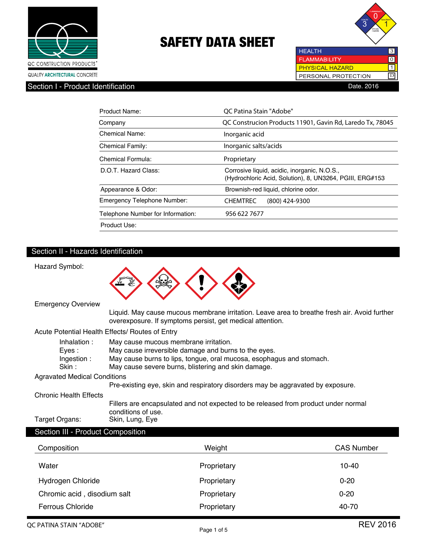



 $\overline{10}$ 

**PHYSICAL HAZARD**  $\overline{\mathsf{1}}$ PERSONAL PROTECTION  $\overline{D}$ 

**HEALTH FLAMMABILITY** 

## Section I - Product Identification **Date.** 2016

| Product Name:                      | OC Patina Stain "Adobe"                                                                                  |
|------------------------------------|----------------------------------------------------------------------------------------------------------|
| Company                            | QC Construcion Products 11901, Gavin Rd, Laredo Tx, 78045                                                |
| Chemical Name:                     | Inorganic acid                                                                                           |
| <b>Chemical Family:</b>            | Inorganic salts/acids                                                                                    |
| Chemical Formula:                  | Proprietary                                                                                              |
| D.O.T. Hazard Class:               | Corrosive liquid, acidic, inorganic, N.O.S.,<br>(Hydrochloric Acid, Solution), 8, UN3264, PGIII, ERG#153 |
| Appearance & Odor:                 | Brownish-red liquid, chlorine odor.                                                                      |
| <b>Emergency Telephone Number:</b> | <b>CHEMTREC</b><br>(800) 424-9300                                                                        |
| Telephone Number for Information:  | 956 622 7677                                                                                             |
| Product Use:                       |                                                                                                          |

### Section II - Hazards Identification



| Inhalation:                  | May cause mucous membrane irritation.                                |
|------------------------------|----------------------------------------------------------------------|
| Eves :                       | May cause irreversible damage and burns to the eyes.                 |
| Ingestion:                   | May cause burns to lips, tongue, oral mucosa, esophagus and stomach. |
| Skin :                       | May cause severe burns, blistering and skin damage.                  |
| Agustical Medical Canditions |                                                                      |

#### Agravated Medical Conditions

Pre-existing eye, skin and respiratory disorders may be aggravated by exposure.

Chronic Health Effects

 Fillers are encapsulated and not expected to be released from product under normal conditions of use.<br>Target Organs: Skin, Lung, Eye Skin, Lung, Eye

### Section III - Product Composition

| Composition                 | Weight      | <b>CAS Number</b> |
|-----------------------------|-------------|-------------------|
| Water                       | Proprietary | $10 - 40$         |
| <b>Hydrogen Chloride</b>    | Proprietary | $0 - 20$          |
| Chromic acid, disodium salt | Proprietary | $0 - 20$          |
| Ferrous Chloride            | Proprietary | 40-70             |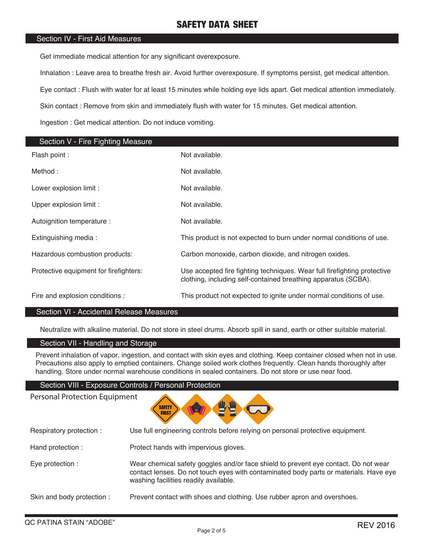#### Section IV - First Aid Measures

Get immediate medical attention for any significant overexposure.

Inhalation : Leave area to breathe fresh air. Avoid further overexposure. If symptoms persist, get medical attention.

Eye contact : Flush with water for at least 15 minutes while holding eye lids apart. Get medical attention immediately.

Skin contact : Remove from skin and immediately flush with water for 15 minutes. Get medical attention.

Ingestion : Get medical attention. Do not induce vomiting.

| Section V - Fire Fighting Measure      |                                                                                                                                            |
|----------------------------------------|--------------------------------------------------------------------------------------------------------------------------------------------|
| Flash point :                          | Not available.                                                                                                                             |
| Method:                                | Not available.                                                                                                                             |
| Lower explosion limit :                | Not available.                                                                                                                             |
| Upper explosion limit :                | Not available.                                                                                                                             |
| Autoignition temperature :             | Not available.                                                                                                                             |
| Extinguishing media:                   | This product is not expected to burn under normal conditions of use.                                                                       |
| Hazardous combustion products:         | Carbon monoxide, carbon dioxide, and nitrogen oxides.                                                                                      |
| Protective equipment for firefighters: | Use accepted fire fighting techniques. Wear full firefighting protective<br>clothing, including self-contained breathing apparatus (SCBA). |
| Fire and explosion conditions :        | This product not expected to ignite under normal conditions of use.                                                                        |

#### Section VI - Accidental Release Measures

Neutralize with alkaline material. Do not store in steel drums. Absorb spill in sand, earth or other suitable material.

### Section VII - Handling and Storage

Prevent inhalation of vapor, ingestion, and contact with skin eyes and clothing. Keep container closed when not in use. Precautions also apply to emptied containers. Change soiled work clothes frequently. Clean hands thoroughly after handling. Store under normal warehouse conditions in sealed containers. Do not store or use near food.

#### Section VIII - Exposure Controls / Personal Protection

Personal Protection Equipment



Respiratory protection : Use full engineering controls before relying on personal protective equipment.

- Hand protection : Protect hands with impervious gloves.
- Eye protection : Wear chemical safety goggles and/or face shield to prevent eye contact. Do not wear contact lenses. Do not touch eyes with contaminated body parts or materials. Have eye washing facilities readily available.
- Skin and body protection : Prevent contact with shoes and clothing. Use rubber apron and overshoes.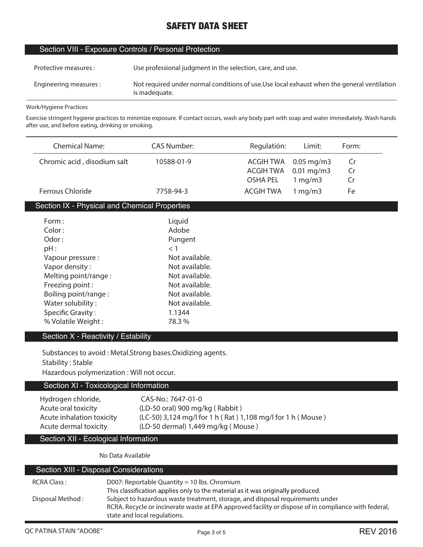#### Section VIII - Exposure Controls / Personal Protection

| Protective measures :  | Use professional judgment in the selection, care, and use.                                                    |
|------------------------|---------------------------------------------------------------------------------------------------------------|
| Engineering measures : | Not required under normal conditions of use. Use local exhaust when the general ventilation<br>is inadequate. |

#### **Work/Hygiene Practices**

 $\overline{a}$ 

L

**Exercise stringent hygiene practices to minimize exposure. If contact occurs, wash any body part with soap and water immediately. Wash hands after use, and before eating, drinking or smoking.**

|                                                           | <b>Chemical Name:</b>                         | <b>CAS Number:</b>                                          | Regulatión:      | Limit:       | Form: |
|-----------------------------------------------------------|-----------------------------------------------|-------------------------------------------------------------|------------------|--------------|-------|
|                                                           | Chromic acid, disodium salt                   | 10588-01-9                                                  | <b>ACGIH TWA</b> | $0.05$ mg/m3 | Cr    |
|                                                           |                                               |                                                             | <b>ACGIH TWA</b> | $0.01$ mg/m3 | Cr    |
|                                                           |                                               |                                                             | <b>OSHA PEL</b>  | 1 mg/m3      | Cr    |
|                                                           | <b>Ferrous Chloride</b>                       | 7758-94-3                                                   | <b>ACGIH TWA</b> | 1 mg/m3      | Fe    |
|                                                           | Section IX - Physical and Chemical Properties |                                                             |                  |              |       |
|                                                           | Form:                                         | Liquid                                                      |                  |              |       |
|                                                           | Color:                                        | Adobe                                                       |                  |              |       |
|                                                           | Odor:                                         | Pungent                                                     |                  |              |       |
|                                                           | $pH$ :                                        | < 1                                                         |                  |              |       |
|                                                           | Vapour pressure :                             | Not available.                                              |                  |              |       |
|                                                           | Vapor density:                                | Not available.                                              |                  |              |       |
|                                                           | Melting point/range:                          | Not available.                                              |                  |              |       |
|                                                           | Freezing point:                               | Not available.                                              |                  |              |       |
|                                                           | Boiling point/range:                          | Not available.                                              |                  |              |       |
|                                                           | Water solubility:                             | Not available.                                              |                  |              |       |
|                                                           | <b>Specific Gravity:</b>                      | 1.1344                                                      |                  |              |       |
|                                                           | % Volatile Weight:                            | 78.3%                                                       |                  |              |       |
|                                                           | Section X - Reactivity / Estability           |                                                             |                  |              |       |
|                                                           |                                               |                                                             |                  |              |       |
| Substances to avoid: Metal.Strong bases.Oxidizing agents. |                                               |                                                             |                  |              |       |
| <b>Stability: Stable</b>                                  |                                               |                                                             |                  |              |       |
|                                                           | Hazardous polymerization : Will not occur.    |                                                             |                  |              |       |
| Section XI - Toxicological Information                    |                                               |                                                             |                  |              |       |
|                                                           | Hydrogen chloride,                            | CAS-No.: 7647-01-0                                          |                  |              |       |
|                                                           | Acute oral toxicity                           | (LD-50 oral) 900 mg/kg (Rabbit)                             |                  |              |       |
|                                                           | Acute inhalation toxicity                     | (LC-50) 3,124 mg/l for 1 h (Rat) 1,108 mg/l for 1 h (Mouse) |                  |              |       |
|                                                           | Acute dermal toxicity                         | (LD-50 dermal) 1,449 mg/kg (Mouse)                          |                  |              |       |
|                                                           | Section XII - Ecological Information          |                                                             |                  |              |       |
|                                                           | No Data Available                             |                                                             |                  |              |       |

### Section XIII - Disposal Considerations **RCRA Class : D007: Reportable Quantity = 10 lbs. Chromium** This classification applies only to the material as it was originally produced. **Disposal Method : Subject to hazardous waste treatment, storage, and disposal requirements under RCRA. Recycle or incinerate waste at EPA approved facility or dispose of in compliance with federal, state and local regulations.**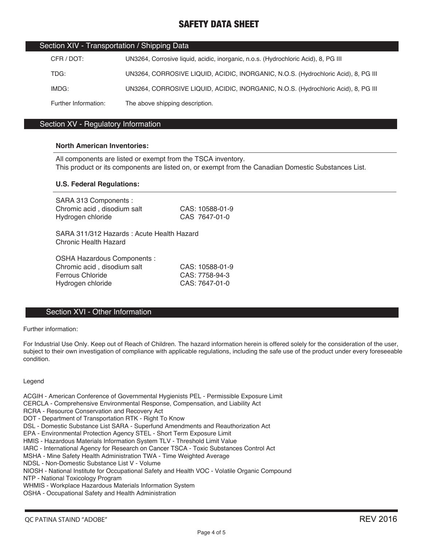| Section XIV - Transportation / Shipping Data |                                                                                    |  |
|----------------------------------------------|------------------------------------------------------------------------------------|--|
| CFR / DOT:                                   | UN3264, Corrosive liquid, acidic, inorganic, n.o.s. (Hydrochloric Acid), 8, PG III |  |
| TDG:                                         | UN3264, CORROSIVE LIQUID, ACIDIC, INORGANIC, N.O.S. (Hydrochloric Acid), 8, PG III |  |
| IMDG:                                        | UN3264, CORROSIVE LIQUID, ACIDIC, INORGANIC, N.O.S. (Hydrochloric Acid), 8, PG III |  |
| Further Information:                         | The above shipping description.                                                    |  |

#### Section XV - Regulatory Information

#### **North American Inventories:**

All components are listed or exempt from the TSCA inventory. This product or its components are listed on, or exempt from the Canadian Domestic Substances List.

#### **U.S. Federal Regulations:**

| SARA 313 Components :<br>Chromic acid, disodium salt<br>Hydrogen chloride | CAS: 10588-01-9<br>CAS 7647-01-0 |
|---------------------------------------------------------------------------|----------------------------------|
| SARA 311/312 Hazards: Acute Health Hazard<br><b>Chronic Health Hazard</b> |                                  |
| OSHA Hazardous Components :                                               |                                  |
| Chromic acid, disodium salt                                               | CAS: 10588-01-9                  |
| Ferrous Chloride                                                          | CAS: 7758-94-3                   |
| Hydrogen chloride                                                         | CAS: 7647-01-0                   |

#### Section XVI - Other Information

Further information:

For Industrial Use Only. Keep out of Reach of Children. The hazard information herein is offered solely for the consideration of the user, subject to their own investigation of compliance with applicable regulations, including the safe use of the product under every foreseeable condition.

#### Legend

ACGIH - American Conference of Governmental Hygienists PEL - Permissible Exposure Limit CERCLA - Comprehensive Environmental Response, Compensation, and Liability Act RCRA - Resource Conservation and Recovery Act DOT - Department of Transportation RTK - Right To Know DSL - Domestic Substance List SARA - Superfund Amendments and Reauthorization Act EPA - Environmental Protection Agency STEL - Short Term Exposure Limit HMIS - Hazardous Materials Information System TLV - Threshold Limit Value IARC - International Agency for Research on Cancer TSCA - Toxic Substances Control Act MSHA - Mine Safety Health Administration TWA - Time Weighted Average NDSL - Non-Domestic Substance List V - Volume NIOSH - National Institute for Occupational Safety and Health VOC - Volatile Organic Compound NTP - National Toxicology Program WHMIS - Workplace Hazardous Materials Information System OSHA - Occupational Safety and Health Administration